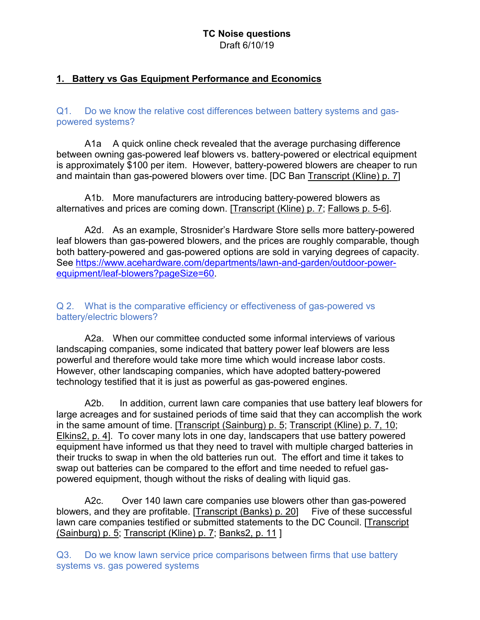#### **TC Noise questions** Draft 6/10/19

## **1. Battery vs Gas Equipment Performance and Economics**

Q1. Do we know the relative cost differences between battery systems and gaspowered systems?

A1a A quick online check revealed that the average purchasing difference between owning gas-powered leaf blowers vs. battery-powered or electrical equipment is approximately \$100 per item. However, battery-powered blowers are cheaper to run and maintain than gas-powered blowers over time. [DC Ban [Transcript \(Kline\) p. 7\]](http://www.quietcleandc.com/testimony/july2-kline)

A1b. More manufacturers are introducing battery-powered blowers as alternatives and prices are coming down. [\[Transcript \(Kline\) p. 7;](http://www.quietcleandc.com/testimony/july2-kline) [Fallows p. 5-6\]](http://www.quietcleandc.com/s/JamesFallowsSubmissionCOWJuly16.pdf).

A2d. As an example, Strosnider's Hardware Store sells more battery-powered leaf blowers than gas-powered blowers, and the prices are roughly comparable, though both battery-powered and gas-powered options are sold in varying degrees of capacity. See [https://www.acehardware.com/departments/lawn-and-garden/outdoor-power](https://www.acehardware.com/departments/lawn-and-garden/outdoor-power-equipment/leaf-blowers?pageSize=60)[equipment/leaf-blowers?pageSize=60.](https://www.acehardware.com/departments/lawn-and-garden/outdoor-power-equipment/leaf-blowers?pageSize=60)

Q 2. What is the comparative efficiency or effectiveness of gas-powered vs battery/electric blowers?

A2a. When our committee conducted some informal interviews of various landscaping companies, some indicated that battery power leaf blowers are less powerful and therefore would take more time which would increase labor costs. However, other landscaping companies, which have adopted battery-powered technology testified that it is just as powerful as gas-powered engines.

A2b. In addition, current lawn care companies that use battery leaf blowers for large acreages and for sustained periods of time said that they can accomplish the work in the same amount of time. [\[Transcript \(Sainburg\) p. 5;](http://www.quietcleandc.com/testimony/july-2-sainburg) [Transcript \(Kline\) p. 7, 10;](http://www.quietcleandc.com/testimony/july2-kline) [Elkins2, p. 4\]](http://www.quietcleandc.com/s/Charles-Elkins-Supplemental-Statement-to-the-COW-re-Leaf-Blower-Legislation-22-234.pdf). To cover many lots in one day, landscapers that use battery powered equipment have informed us that they need to travel with multiple charged batteries in their trucks to swap in when the old batteries run out. The effort and time it takes to swap out batteries can be compared to the effort and time needed to refuel gaspowered equipment, though without the risks of dealing with liquid gas.

A2c. Over 140 lawn care companies use blowers other than gas-powered blowers, and they are profitable. [\[Transcript \(Banks\) p. 20\]](http://www.quietcleandc.com/testimony/banks) Five of these successful lawn care companies testified or submitted statements to the DC Council. [\[Transcript](http://www.quietcleandc.com/testimony/july-2-sainburg)  [\(Sainburg\) p. 5;](http://www.quietcleandc.com/testimony/july-2-sainburg) [Transcript \(Kline\) p. 7;](http://www.quietcleandc.com/testimony/july2-kline) [Banks2, p. 11](http://www.quietcleandc.com/s/20180716_DC-COW-Bill-22-234-Report_Final-Jamie-Banks.pdf) ]

Q3. Do we know lawn service price comparisons between firms that use battery systems vs. gas powered systems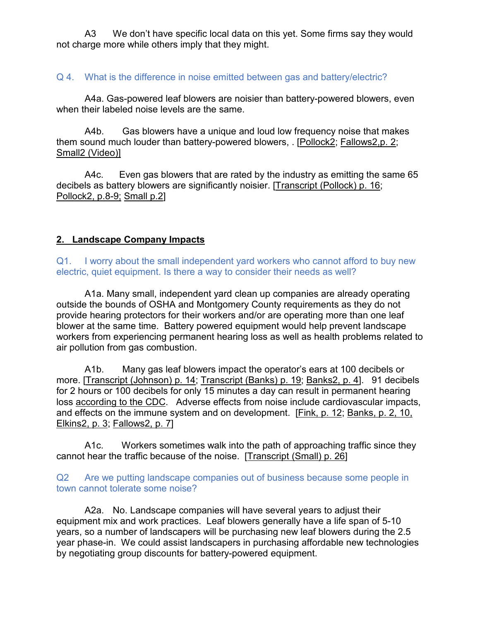A3 We don't have specific local data on this yet. Some firms say they would not charge more while others imply that they might.

### Q 4. What is the difference in noise emitted between gas and battery/electric?

A4a. Gas-powered leaf blowers are noisier than battery-powered blowers, even when their labeled noise levels are the same.

A4b. Gas blowers have a unique and loud low frequency noise that makes them sound much louder than battery-powered blowers, . [\[Pollock2;](http://www.quietcleandc.com/s/Bill-No-B22-234-the-Leaf-Blower-Regulation-Amendment-of-2017-Written-Statement-by-Arup_Web-Version.pdf) [Fallows2,p. 2](http://www.quietcleandc.com/s/JamesFallowsSubmissionCOWJuly16-pg3a.pdf)[;](http://www.quietcleandc.com/s/Comparison-of-Leaf-Blowers-video.mp4) [Small2 \(Video\)\]](http://www.quietcleandc.com/s/Comparison-of-Leaf-Blowers-video.mp4)

A4c. Even gas blowers that are rated by the industry as emitting the same 65 decibels as battery blowers are significantly noisier. [\[Transcript \(Pollock\) p. 16;](http://www.quietcleandc.com/testimony/july-2-pollock) [Pollock2, p.8-9;](http://www.quietcleandc.com/s/Bill-No-B22-234-the-Leaf-Blower-Regulation-Amendment-of-2017-Written-Statement-by-Arup_Web-Version.pdf) [Small p.2\]](http://www.quietcleandc.com/testimony/july2-small)

## **2. Landscape Company Impacts**

Q1. I worry about the small independent yard workers who cannot afford to buy new electric, quiet equipment. Is there a way to consider their needs as well?

A1a. Many small, independent yard clean up companies are already operating outside the bounds of OSHA and Montgomery County requirements as they do not provide hearing protectors for their workers and/or are operating more than one leaf blower at the same time. Battery powered equipment would help prevent landscape workers from experiencing permanent hearing loss as well as health problems related to air pollution from gas combustion.

A1b. Many gas leaf blowers impact the operator's ears at 100 decibels or more. [\[Transcript \(Johnson\) p. 14;](http://www.quietcleandc.com/testimony/july2-johnson) [Transcript \(Banks\) p. 19;](http://www.quietcleandc.com/testimony/banks) [Banks2, p. 4\]](http://www.quietcleandc.com/s/20180716_DC-COW-Bill-22-234-Report_Final-Jamie-Banks.pdf).91 decibels for 2 hours or 100 decibels for only 15 minutes a day can result in permanent hearing loss [according to the CDC.](https://www.cdc.gov/nceh/hearing_loss/what_noises_cause_hearing_loss.html) Adverse effects from noise include cardiovascular impacts, and effects on the immune system and on development. [\[Fink, p. 12;](http://www.quietcleandc.com/s/Testimony-of-Daniel-Fink-Supplementary-Statement.pdf) [Banks, p. 2, 10,](http://www.quietcleandc.com/s/20180716_DC-COW-Bill-22-234-Report_Final-Jamie-Banks.pdf) [Elkins2, p. 3;](http://www.quietcleandc.com/s/Charles-Elkins-Supplemental-Statement-to-the-COW-re-Leaf-Blower-Legislation-22-234.pdf) [Fallows2, p. 7\]](http://www.quietcleandc.com/s/JamesFallowsSubmissionCOWJuly16-pg3a.pdf)

A1c. Workers sometimes walk into the path of approaching traffic since they cannot hear the traffic because of the noise. [\[Transcript \(Small\) p. 26\]](http://www.quietcleandc.com/testimony/july2-small)

Q2 Are we putting landscape companies out of business because some people in town cannot tolerate some noise?

A2a. No. Landscape companies will have several years to adjust their equipment mix and work practices. Leaf blowers generally have a life span of 5-10 years, so a number of landscapers will be purchasing new leaf blowers during the 2.5 year phase-in. We could assist landscapers in purchasing affordable new technologies by negotiating group discounts for battery-powered equipment.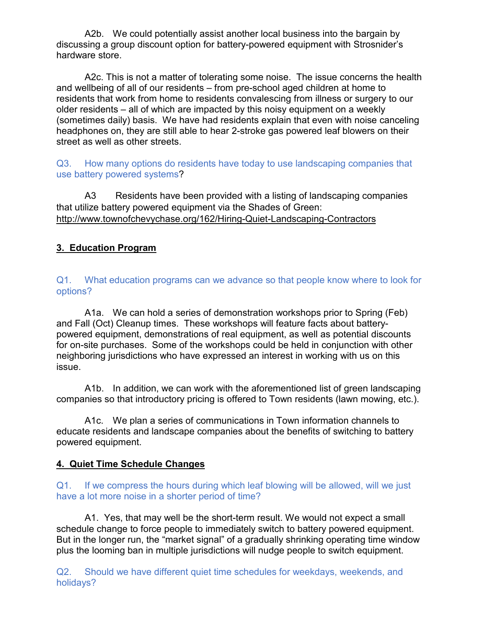A2b. We could potentially assist another local business into the bargain by discussing a group discount option for battery-powered equipment with Strosnider's hardware store.

A2c. This is not a matter of tolerating some noise. The issue concerns the health and wellbeing of all of our residents – from pre-school aged children at home to residents that work from home to residents convalescing from illness or surgery to our older residents – all of which are impacted by this noisy equipment on a weekly (sometimes daily) basis. We have had residents explain that even with noise canceling headphones on, they are still able to hear 2-stroke gas powered leaf blowers on their street as well as other streets.

Q3. How many options do residents have today to use landscaping companies that use battery powered systems?

A3 Residents have been provided with a listing of landscaping companies that utilize battery powered equipment via the Shades of Green: <http://www.townofchevychase.org/162/Hiring-Quiet-Landscaping-Contractors>

# **3. Education Program**

Q1. What education programs can we advance so that people know where to look for options?

A1a. We can hold a series of demonstration workshops prior to Spring (Feb) and Fall (Oct) Cleanup times. These workshops will feature facts about batterypowered equipment, demonstrations of real equipment, as well as potential discounts for on-site purchases. Some of the workshops could be held in conjunction with other neighboring jurisdictions who have expressed an interest in working with us on this issue.

A1b. In addition, we can work with the aforementioned list of green landscaping companies so that introductory pricing is offered to Town residents (lawn mowing, etc.).

A1c. We plan a series of communications in Town information channels to educate residents and landscape companies about the benefits of switching to battery powered equipment.

# **4. Quiet Time Schedule Changes**

#### Q1. If we compress the hours during which leaf blowing will be allowed, will we just have a lot more noise in a shorter period of time?

A1. Yes, that may well be the short-term result. We would not expect a small schedule change to force people to immediately switch to battery powered equipment. But in the longer run, the "market signal" of a gradually shrinking operating time window plus the looming ban in multiple jurisdictions will nudge people to switch equipment.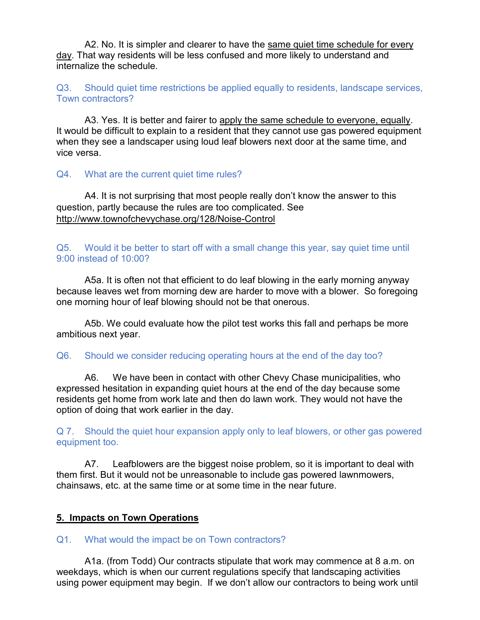A2. No. It is simpler and clearer to have the same quiet time schedule for every day. That way residents will be less confused and more likely to understand and internalize the schedule.

Q3. Should quiet time restrictions be applied equally to residents, landscape services, Town contractors?

A3. Yes. It is better and fairer to apply the same schedule to everyone, equally. It would be difficult to explain to a resident that they cannot use gas powered equipment when they see a landscaper using loud leaf blowers next door at the same time, and vice versa.

## Q4. What are the current quiet time rules?

A4. It is not surprising that most people really don't know the answer to this question, partly because the rules are too complicated. See <http://www.townofchevychase.org/128/Noise-Control>

Q5. Would it be better to start off with a small change this year, say quiet time until 9:00 instead of 10:00?

A5a. It is often not that efficient to do leaf blowing in the early morning anyway because leaves wet from morning dew are harder to move with a blower. So foregoing one morning hour of leaf blowing should not be that onerous.

A5b. We could evaluate how the pilot test works this fall and perhaps be more ambitious next year.

Q6. Should we consider reducing operating hours at the end of the day too?

A6. We have been in contact with other Chevy Chase municipalities, who expressed hesitation in expanding quiet hours at the end of the day because some residents get home from work late and then do lawn work. They would not have the option of doing that work earlier in the day.

Q 7. Should the quiet hour expansion apply only to leaf blowers, or other gas powered equipment too.

A7. Leafblowers are the biggest noise problem, so it is important to deal with them first. But it would not be unreasonable to include gas powered lawnmowers, chainsaws, etc. at the same time or at some time in the near future.

# **5. Impacts on Town Operations**

Q1. What would the impact be on Town contractors?

A1a. (from Todd) Our contracts stipulate that work may commence at 8 a.m. on weekdays, which is when our current regulations specify that landscaping activities using power equipment may begin. If we don't allow our contractors to being work until